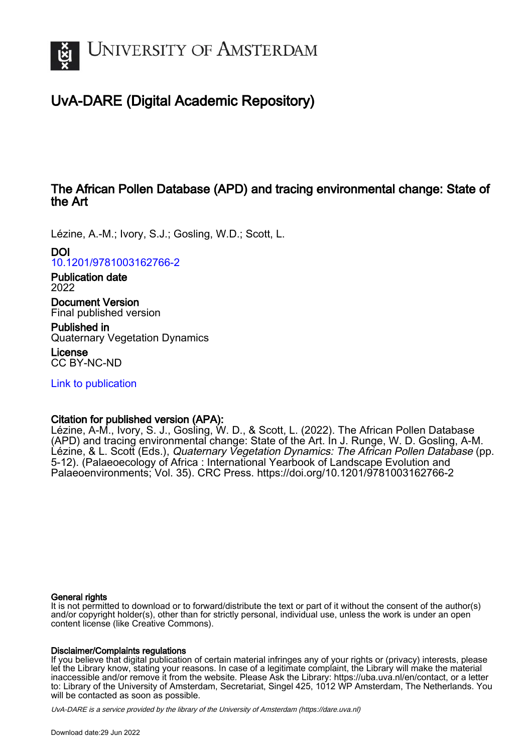

## UvA-DARE (Digital Academic Repository)

## The African Pollen Database (APD) and tracing environmental change: State of the Art

Lézine, A.-M.; Ivory, S.J.; Gosling, W.D.; Scott, L.

DOI

[10.1201/9781003162766-2](https://doi.org/10.1201/9781003162766-2)

Publication date 2022

Document Version Final published version

Published in Quaternary Vegetation Dynamics

License CC BY-NC-ND

[Link to publication](https://dare.uva.nl/personal/pure/en/publications/the-african-pollen-database-apd-and-tracing-environmental-change-state-of-the-art(fcab1222-ebd0-4a6b-84d1-576813240bb3).html)

## Citation for published version (APA):

Lézine, A-M., Ivory, S. J., Gosling, W. D., & Scott, L. (2022). The African Pollen Database (APD) and tracing environmental change: State of the Art. In J. Runge, W. D. Gosling, A-M. Lézine, & L. Scott (Eds.), Quaternary Vegetation Dynamics: The African Pollen Database (pp. 5-12). (Palaeoecology of Africa : International Yearbook of Landscape Evolution and Palaeoenvironments; Vol. 35). CRC Press. <https://doi.org/10.1201/9781003162766-2>

#### General rights

It is not permitted to download or to forward/distribute the text or part of it without the consent of the author(s) and/or copyright holder(s), other than for strictly personal, individual use, unless the work is under an open content license (like Creative Commons).

#### Disclaimer/Complaints regulations

If you believe that digital publication of certain material infringes any of your rights or (privacy) interests, please let the Library know, stating your reasons. In case of a legitimate complaint, the Library will make the material inaccessible and/or remove it from the website. Please Ask the Library: https://uba.uva.nl/en/contact, or a letter to: Library of the University of Amsterdam, Secretariat, Singel 425, 1012 WP Amsterdam, The Netherlands. You will be contacted as soon as possible.

UvA-DARE is a service provided by the library of the University of Amsterdam (http*s*://dare.uva.nl)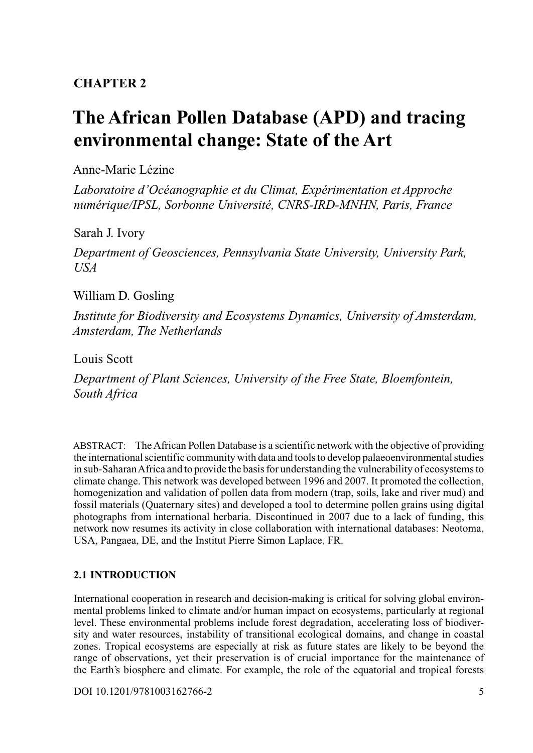## **CHAPTER 2**

# **[The African Pollen Database \(APD\) and tracing](#page--1-0) environmental change: State of the Art**

### Anne-Marie Lézine

*Laboratoire d'Océanographie et du Climat, Expérimentation et Approche numérique/IPSL, Sorbonne Université, CNRS-IRD-MNHN, Paris, France*

Sarah J. Ivory

*Department of Geosciences, Pennsylvania State University, University Park, USA*

### William D. Gosling

*Institute for Biodiversity and Ecosystems Dynamics, University of Amsterdam, Amsterdam, The Netherlands*

#### Louis Scott

*Department of Plant Sciences, University of the Free State, Bloemfontein, South Africa*

ABSTRACT: The African Pollen Database is a scientific network with the objective of providing the international scientific community with data and tools to develop palaeoenvironmental studies in sub-SaharanAfrica and to provide the basis for understanding the vulnerability of ecosystems to climate change. This network was developed between 1996 and 2007. It promoted the collection, homogenization and validation of pollen data from modern (trap, soils, lake and river mud) and fossil materials (Quaternary sites) and developed a tool to determine pollen grains using digital photographs from international herbaria. Discontinued in 2007 due to a lack of funding, this network now resumes its activity in close collaboration with international databases: Neotoma, USA, Pangaea, DE, and the Institut Pierre Simon Laplace, FR.

#### **2.1 INTRODUCTION**

International cooperation in research and decision-making is critical for solving global environmental problems linked to climate and/or human impact on ecosystems, particularly at regional level. These environmental problems include forest degradation, accelerating loss of biodiversity and water resources, instability of transitional ecological domains, and change in coastal zones. Tropical ecosystems are especially at risk as future states are likely to be beyond the range of observations, yet their preservation is of crucial importance for the maintenance of the Earth's biosphere and climate. For example, the role of the equatorial and tropical forests

DOI 10.1201/9781003162766-2 5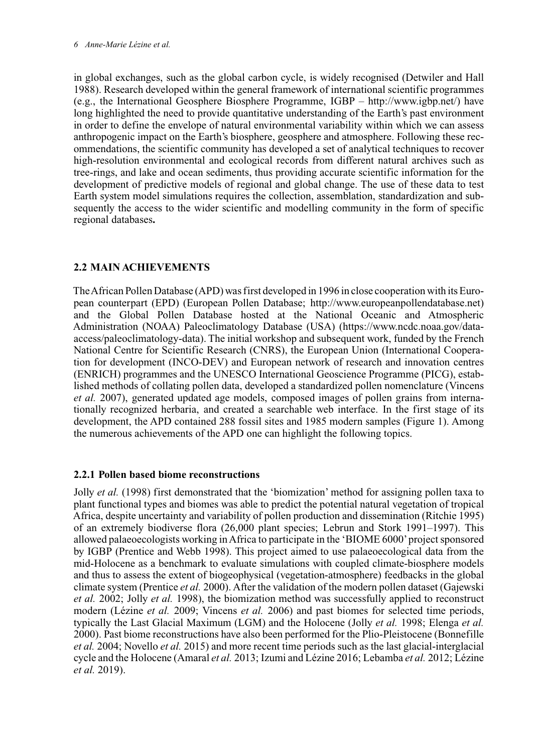in global exchanges, such as the global carbon cycle, is widely recognised (Detwiler and Hall 1988). Research developed within the general framework of international scientific programmes (e.g., the International Geosphere Biosphere Programme, IGBP – [http://www.igbp.net/\) ha](http://www.igbp.net/)ve long highlighted the need to provide quantitative understanding of the Earth's past environment in order to define the envelope of natural environmental variability within which we can assess anthropogenic impact on the Earth's biosphere, geosphere and atmosphere. Following these recommendations, the scientific community has developed a set of analytical techniques to recover high-resolution environmental and ecological records from different natural archives such as tree-rings, and lake and ocean sediments, thus providing accurate scientific information for the development of predictive models of regional and global change. The use of these data to test Earth system model simulations requires the collection, assemblation, standardization and subsequently the access to the wider scientific and modelling community in the form of specific regional databases**.**

#### **2.2 MAIN ACHIEVEMENTS**

TheAfrican Pollen Database (APD) was first developed in 1996 in close cooperation with its European counterpart (EPD) (European Pollen Database; [http://www.europeanpollendatabase.net\)](http://www.europeanpollendatabase.net) and the Global Pollen Database hosted at the National Oceanic and Atmospheric [Administration \(NOAA\) Paleoclimatology Database \(USA\) \(https://www.ncdc.noaa.gov/data](https://www.ncdc.noaa.gov/data-access/paleoclimatology-data)access[/paleoclimatology-data\). Th](https://www.ncdc.noaa.gov/data-access/paleoclimatology-data)e initial workshop and subsequent work, funded by the French National Centre for Scientific Research (CNRS), the European Union (International Cooperation for development (INCO-DEV) and European network of research and innovation centres (ENRICH) programmes and the UNESCO International Geoscience Programme (PICG), established methods of collating pollen data, developed a standardized pollen nomenclature (Vincens *et al.* 2007), generated updated age models, composed images of pollen grains from internationally recognized herbaria, and created a searchable web interface. In the first stage of its development, the APD contained 288 fossil sites and 1985 modern samples (Figure 1). Among the numerous achievements of the APD one can highlight the following topics.

#### **2.2.1 Pollen based biome reconstructions**

Jolly *et al.* (1998) first demonstrated that the 'biomization' method for assigning pollen taxa to plant functional types and biomes was able to predict the potential natural vegetation of tropical Africa, despite uncertainty and variability of pollen production and dissemination (Ritchie 1995) of an extremely biodiverse flora (26,000 plant species; Lebrun and Stork 1991–1997). This allowed palaeoecologists working in Africa to participate in the 'BIOME 6000'project sponsored by IGBP (Prentice and Webb 1998). This project aimed to use palaeoecological data from the mid-Holocene as a benchmark to evaluate simulations with coupled climate-biosphere models and thus to assess the extent of biogeophysical (vegetation-atmosphere) feedbacks in the global climate system (Prentice *et al.* 2000). After the validation of the modern pollen dataset (Gajewski *et al.* 2002; Jolly *et al.* 1998), the biomization method was successfully applied to reconstruct modern (Lézine *et al.* 2009; Vincens *et al.* 2006) and past biomes for selected time periods, typically the Last Glacial Maximum (LGM) and the Holocene (Jolly *et al.* 1998; Elenga *et al.* 2000). Past biome reconstructions have also been performed for the Plio-Pleistocene (Bonnefille *et al.* 2004; Novello *et al.* 2015) and more recent time periods such as the last glacial-interglacial cycle and the Holocene (Amaral *et al.* 2013; Izumi and Lézine 2016; Lebamba *et al.* 2012; Lézine *et al.* 2019).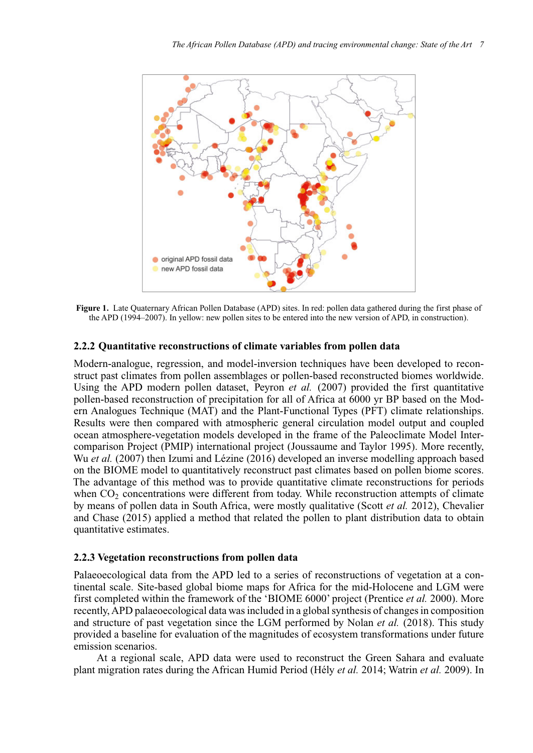

**Figure 1.** Late Quaternary African Pollen Database (APD) sites. In red: pollen data gathered during the first phase of the APD (1994–2007). In yellow: new pollen sites to be entered into the new version of APD, in construction).

#### **2.2.2 Quantitative reconstructions of climate variables from pollen data**

Modern-analogue, regression, and model-inversion techniques have been developed to reconstruct past climates from pollen assemblages or pollen-based reconstructed biomes worldwide. Using the APD modern pollen dataset, Peyron *et al.* (2007) provided the first quantitative pollen-based reconstruction of precipitation for all of Africa at 6000 yr BP based on the Modern Analogues Technique (MAT) and the Plant-Functional Types (PFT) climate relationships. Results were then compared with atmospheric general circulation model output and coupled ocean atmosphere-vegetation models developed in the frame of the Paleoclimate Model Intercomparison Project (PMIP) international project (Joussaume and Taylor 1995). More recently, Wu *et al.* (2007) then Izumi and Lézine (2016) developed an inverse modelling approach based on the BIOME model to quantitatively reconstruct past climates based on pollen biome scores. The advantage of this method was to provide quantitative climate reconstructions for periods when  $CO<sub>2</sub>$  concentrations were different from today. While reconstruction attempts of climate by means of pollen data in South Africa, were mostly qualitative (Scott *et al.* 2012), Chevalier and Chase (2015) applied a method that related the pollen to plant distribution data to obtain quantitative estimates.

#### **2.2.3 Vegetation reconstructions from pollen data**

Palaeoecological data from the APD led to a series of reconstructions of vegetation at a continental scale. Site-based global biome maps for Africa for the mid-Holocene and LGM were first completed within the framework of the 'BIOME 6000' project (Prentice *et al.* 2000). More recently, APD palaeoecological data was included in a global synthesis of changes in composition and structure of past vegetation since the LGM performed by Nolan *et al.* (2018). This study provided a baseline for evaluation of the magnitudes of ecosystem transformations under future emission scenarios.

At a regional scale, APD data were used to reconstruct the Green Sahara and evaluate plant migration rates during the African Humid Period (Hély *et al.* 2014; Watrin *et al.* 2009). In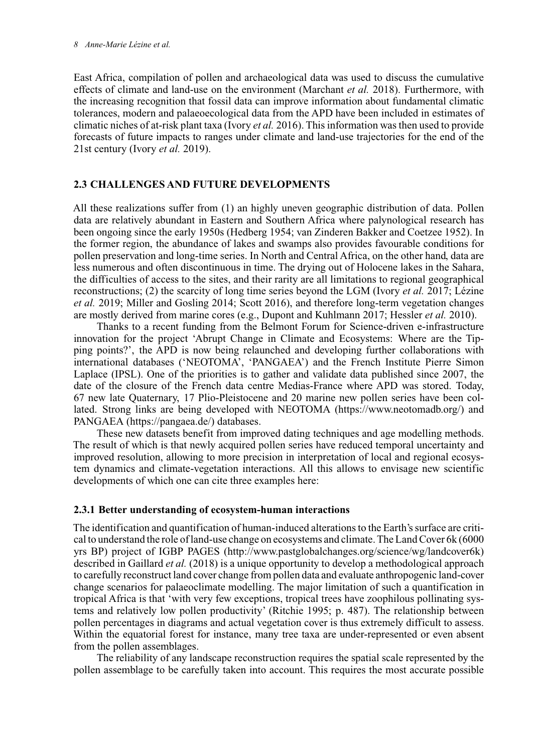East Africa, compilation of pollen and archaeological data was used to discuss the cumulative effects of climate and land-use on the environment (Marchant *et al.* 2018). Furthermore, with the increasing recognition that fossil data can improve information about fundamental climatic tolerances, modern and palaeoecological data from the APD have been included in estimates of climatic niches of at-risk plant taxa (Ivory *et al.* 2016). This information was then used to provide forecasts of future impacts to ranges under climate and land-use trajectories for the end of the 21st century (Ivory *et al.* 2019).

#### **2.3 CHALLENGES AND FUTURE DEVELOPMENTS**

All these realizations suffer from (1) an highly uneven geographic distribution of data. Pollen data are relatively abundant in Eastern and Southern Africa where palynological research has been ongoing since the early 1950s (Hedberg 1954; van Zinderen Bakker and Coetzee 1952). In the former region, the abundance of lakes and swamps also provides favourable conditions for pollen preservation and long-time series. In North and Central Africa, on the other hand, data are less numerous and often discontinuous in time. The drying out of Holocene lakes in the Sahara, the difficulties of access to the sites, and their rarity are all limitations to regional geographical reconstructions; (2) the scarcity of long time series beyond the LGM (Ivory *et al.* 2017; Lézine *et al.* 2019; Miller and Gosling 2014; Scott 2016), and therefore long-term vegetation changes are mostly derived from marine cores (e.g., Dupont and Kuhlmann 2017; Hessler *et al.* 2010).

Thanks to a recent funding from the Belmont Forum for Science-driven e-infrastructure innovation for the project 'Abrupt Change in Climate and Ecosystems: Where are the Tipping points?', the APD is now being relaunched and developing further collaborations with international databases ('NEOTOMA', 'PANGAEA') and the French Institute Pierre Simon Laplace (IPSL). One of the priorities is to gather and validate data published since 2007, the date of the closure of the French data centre Medias-France where APD was stored. Today, 67 new late Quaternary, 17 Plio-Pleistocene and 20 marine new pollen series have been collated. Strong links are being developed with NEOTOMA [\(https://www.neotomadb.org/\) an](https://www.neotomadb.org/)d PANGAEA [\(https://pangaea.de/\) da](https://pangaea.de/)tabases.

These new datasets benefit from improved dating techniques and age modelling methods. The result of which is that newly acquired pollen series have reduced temporal uncertainty and improved resolution, allowing to more precision in interpretation of local and regional ecosystem dynamics and climate-vegetation interactions. All this allows to envisage new scientific developments of which one can cite three examples here:

#### **2.3.1 Better understanding of ecosystem-human interactions**

The identification and quantification of human-induced alterations to the Earth's surface are critical to understand the role of land-use change on ecosystems and climate. The Land Cover 6k (6000 yrs BP) project of IGBP PAGES ([http://www.pastglobalchanges.org/science/wg/landcover6k\)](http://www.pastglobalchanges.org/science/wg/landcover6k) described in Gaillard *et al.* (2018) is a unique opportunity to develop a methodological approach to carefully reconstruct land cover change from pollen data and evaluate anthropogenic land-cover change scenarios for palaeoclimate modelling. The major limitation of such a quantification in tropical Africa is that 'with very few exceptions, tropical trees have zoophilous pollinating systems and relatively low pollen productivity' (Ritchie 1995; p. 487). The relationship between pollen percentages in diagrams and actual vegetation cover is thus extremely difficult to assess. Within the equatorial forest for instance, many tree taxa are under-represented or even absent from the pollen assemblages.

The reliability of any landscape reconstruction requires the spatial scale represented by the pollen assemblage to be carefully taken into account. This requires the most accurate possible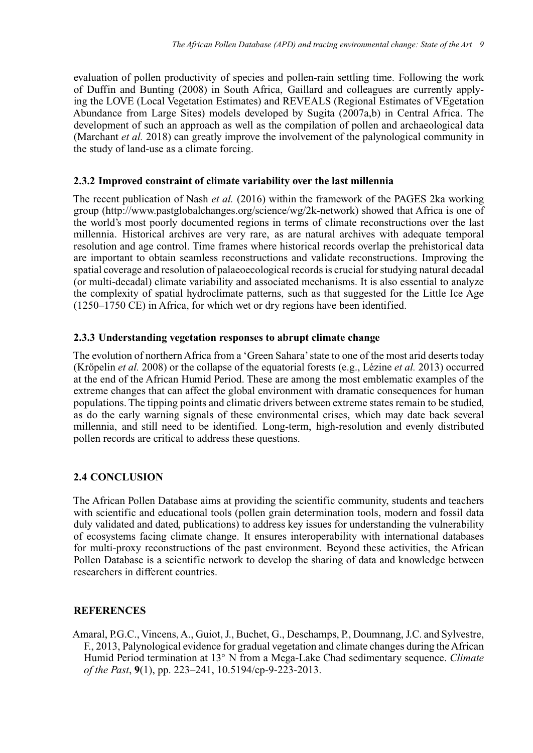evaluation of pollen productivity of species and pollen-rain settling time. Following the work of Duffin and Bunting (2008) in South Africa, Gaillard and colleagues are currently applying the LOVE (Local Vegetation Estimates) and REVEALS (Regional Estimates of VEgetation Abundance from Large Sites) models developed by Sugita (2007a,b) in Central Africa. The development of such an approach as well as the compilation of pollen and archaeological data (Marchant *et al.* 2018) can greatly improve the involvement of the palynological community in the study of land-use as a climate forcing.

#### **2.3.2 Improved constraint of climate variability over the last millennia**

The recent publication of Nash *et al.* (2016) within the framework of the PAGES 2ka working group ([http://www.pastglobalchanges.org/science/wg/2k-network\) sh](http://www.pastglobalchanges.org/science/wg/2k-network)owed that Africa is one of the world's most poorly documented regions in terms of climate reconstructions over the last millennia. Historical archives are very rare, as are natural archives with adequate temporal resolution and age control. Time frames where historical records overlap the prehistorical data are important to obtain seamless reconstructions and validate reconstructions. Improving the spatial coverage and resolution of palaeoecological records is crucial for studying natural decadal (or multi-decadal) climate variability and associated mechanisms. It is also essential to analyze the complexity of spatial hydroclimate patterns, such as that suggested for the Little Ice Age (1250–1750 CE) in Africa, for which wet or dry regions have been identified.

#### **2.3.3 Understanding vegetation responses to abrupt climate change**

The evolution of northern Africa from a 'Green Sahara' state to one of the most arid deserts today (Kröpelin *et al.* 2008) or the collapse of the equatorial forests (e.g., Lézine *et al.* 2013) occurred at the end of the African Humid Period. These are among the most emblematic examples of the extreme changes that can affect the global environment with dramatic consequences for human populations. The tipping points and climatic drivers between extreme states remain to be studied, as do the early warning signals of these environmental crises, which may date back several millennia, and still need to be identified. Long-term, high-resolution and evenly distributed pollen records are critical to address these questions.

#### **2.4 CONCLUSION**

The African Pollen Database aims at providing the scientific community, students and teachers with scientific and educational tools (pollen grain determination tools, modern and fossil data duly validated and dated, publications) to address key issues for understanding the vulnerability of ecosystems facing climate change. It ensures interoperability with international databases for multi-proxy reconstructions of the past environment. Beyond these activities, the African Pollen Database is a scientific network to develop the sharing of data and knowledge between researchers in different countries.

#### **REFERENCES**

Amaral, P.G.C., Vincens, A., Guiot, J., Buchet, G., Deschamps, P., Doumnang, J.C. and Sylvestre, F., 2013, Palynological evidence for gradual vegetation and climate changes during the African Humid Period termination at 13◦ N from a Mega-Lake Chad sedimentary sequence. *Climate of the Past*, **9**(1), pp. 223–241, 10.5194/cp-9-223-2013.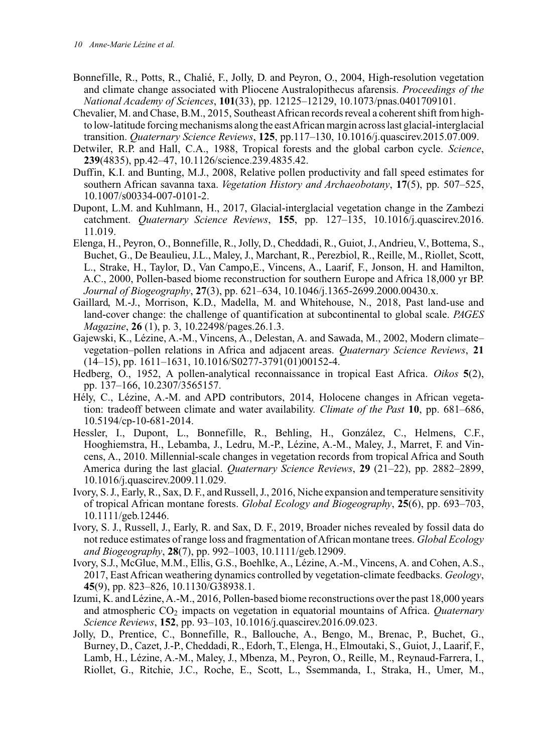- Bonnefille, R., Potts, R., Chalié, F., Jolly, D. and Peyron, O., 2004, High-resolution vegetation and climate change associated with Pliocene Australopithecus afarensis. *Proceedings of the National Academy of Sciences*, **101**(33), pp. 12125–12129, 10.1073/pnas.0401709101.
- Chevalier, M. and Chase, B.M., 2015, SoutheastAfrican records reveal a coherent shift from highto low-latitude forcing mechanisms along the eastAfrican margin across last glacial-interglacial transition. *Quaternary Science Reviews*, **125**, pp.117–130, 10.1016/j.quascirev.2015.07.009.
- Detwiler, R.P. and Hall, C.A., 1988, Tropical forests and the global carbon cycle. *Science*, **239**(4835), pp.42–47, 10.1126/science.239.4835.42.
- Duffin, K.I. and Bunting, M.J., 2008, Relative pollen productivity and fall speed estimates for southern African savanna taxa. *Vegetation History and Archaeobotany*, **17**(5), pp. 507–525, 10.1007/s00334-007-0101-2.
- Dupont, L.M. and Kuhlmann, H., 2017, Glacial-interglacial vegetation change in the Zambezi catchment. *Quaternary Science Reviews*, **155**, pp. 127–135, 10.1016/j.quascirev.2016. 11.019.
- Elenga, H., Peyron, O., Bonnefille, R., Jolly, D., Cheddadi, R., Guiot, J., Andrieu, V., Bottema, S., Buchet, G., De Beaulieu, J.L., Maley, J., Marchant, R., Perezbiol, R., Reille, M., Riollet, Scott, L., Strake, H., Taylor, D., Van Campo,E., Vincens, A., Laarif, F., Jonson, H. and Hamilton, A.C., 2000, Pollen-based biome reconstruction for southern Europe and Africa 18,000 yr BP. *Journal of Biogeography*, **27**(3), pp. 621–634, 10.1046/j.1365-2699.2000.00430.x.
- Gaillard, M.-J., Morrison, K.D., Madella, M. and Whitehouse, N., 2018, Past land-use and land-cover change: the challenge of quantification at subcontinental to global scale. *PAGES Magazine*, **26** (1), p. 3, 10.22498/pages.26.1.3.
- Gajewski, K., Lézine, A.-M., Vincens, A., Delestan, A. and Sawada, M., 2002, Modern climate– vegetation–pollen relations in Africa and adjacent areas. *Quaternary Science Reviews*, **21** (14–15), pp. 1611–1631, 10.1016/S0277-3791(01)00152-4.
- Hedberg, O., 1952, A pollen-analytical reconnaissance in tropical East Africa. *Oikos* **5**(2), pp. 137–166, 10.2307/3565157.
- Hély, C., Lézine, A.-M. and APD contributors, 2014, Holocene changes in African vegetation: tradeoff between climate and water availability. *Climate of the Past* **10**, pp. 681–686, 10.5194/cp-10-681-2014.
- Hessler, I., Dupont, L., Bonnefille, R., Behling, H., González, C., Helmens, C.F., Hooghiemstra, H., Lebamba, J., Ledru, M.-P., Lézine, A.-M., Maley, J., Marret, F. and Vincens, A., 2010. Millennial-scale changes in vegetation records from tropical Africa and South America during the last glacial. *Quaternary Science Reviews*, **29** (21–22), pp. 2882–2899, 10.1016/j.quascirev.2009.11.029.
- Ivory, S. J., Early, R., Sax, D. F., and Russell, J., 2016, Niche expansion and temperature sensitivity of tropical African montane forests. *Global Ecology and Biogeography*, **25**(6), pp. 693–703, 10.1111/geb.12446.
- Ivory, S. J., Russell, J., Early, R. and Sax, D. F., 2019, Broader niches revealed by fossil data do not reduce estimates of range loss and fragmentation of African montane trees. *Global Ecology and Biogeography*, **28**(7), pp. 992–1003, 10.1111/geb.12909.
- Ivory, S.J., McGlue, M.M., Ellis, G.S., Boehlke, A., Lézine, A.-M., Vincens, A. and Cohen, A.S., 2017, EastAfrican weathering dynamics controlled by vegetation-climate feedbacks. *Geology*, **45**(9), pp. 823–826, 10.1130/G38938.1.
- Izumi, K. and Lézine, A.-M., 2016, Pollen-based biome reconstructions over the past 18,000 years and atmospheric CO2 impacts on vegetation in equatorial mountains of Africa. *Quaternary Science Reviews*, **152**, pp. 93–103, 10.1016/j.quascirev.2016.09.023.
- Jolly, D., Prentice, C., Bonnefille, R., Ballouche, A., Bengo, M., Brenac, P., Buchet, G., Burney, D., Cazet, J.-P., Cheddadi, R., Edorh, T., Elenga, H., Elmoutaki, S., Guiot, J., Laarif, F., Lamb, H., Lézine, A.-M., Maley, J., Mbenza, M., Peyron, O., Reille, M., Reynaud-Farrera, I., Riollet, G., Ritchie, J.C., Roche, E., Scott, L., Ssemmanda, I., Straka, H., Umer, M.,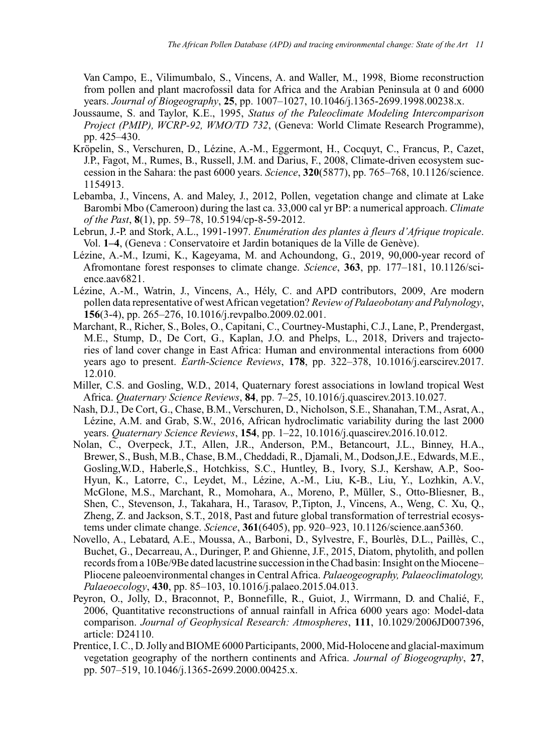Van Campo, E., Vilimumbalo, S., Vincens, A. and Waller, M., 1998, Biome reconstruction from pollen and plant macrofossil data for Africa and the Arabian Peninsula at 0 and 6000 years. *Journal of Biogeography*, **25**, pp. 1007–1027, 10.1046/j.1365-2699.1998.00238.x.

- Joussaume, S. and Taylor, K.E., 1995, *Status of the Paleoclimate Modeling Intercomparison Project (PMIP), WCRP-92, WMO/TD 732*, (Geneva: World Climate Research Programme), pp. 425–430.
- Kröpelin, S., Verschuren, D., Lézine, A.-M., Eggermont, H., Cocquyt, C., Francus, P., Cazet, J.P., Fagot, M., Rumes, B., Russell, J.M. and Darius, F., 2008, Climate-driven ecosystem succession in the Sahara: the past 6000 years. *Science*, **320**(5877), pp. 765–768, 10.1126/science. 1154913.
- Lebamba, J., Vincens, A. and Maley, J., 2012, Pollen, vegetation change and climate at Lake Barombi Mbo (Cameroon) during the last ca. 33,000 cal yr BP: a numerical approach. *Climate of the Past*, **8**(1), pp. 59–78, 10.5194/cp-8-59-2012.
- Lebrun, J.-P. and Stork, A.L., 1991-1997. *Enumération des plantes à fleurs d'Afrique tropicale*. Vol. **1–4**, (Geneva : Conservatoire et Jardin botaniques de la Ville de Genève).
- Lézine, A.-M., Izumi, K., Kageyama, M. and Achoundong, G., 2019, 90,000-year record of Afromontane forest responses to climate change. *Science*, **363**, pp. 177–181, 10.1126/science.aav6821.
- Lézine, A.-M., Watrin, J., Vincens, A., Hély, C. and APD contributors, 2009, Are modern pollen data representative of westAfrican vegetation? *Review of Palaeobotany and Palynology*, **156**(3-4), pp. 265–276, 10.1016/j.revpalbo.2009.02.001.
- Marchant, R., Richer, S., Boles, O., Capitani, C., Courtney-Mustaphi, C.J., Lane, P., Prendergast, M.E., Stump, D., De Cort, G., Kaplan, J.O. and Phelps, L., 2018, Drivers and trajectories of land cover change in East Africa: Human and environmental interactions from 6000 years ago to present. *Earth-Science Reviews*, **178**, pp. 322–378, 10.1016/j.earscirev.2017. 12.010.
- Miller, C.S. and Gosling, W.D., 2014, Quaternary forest associations in lowland tropical West Africa. *Quaternary Science Reviews*, **84**, pp. 7–25, 10.1016/j.quascirev.2013.10.027.
- Nash, D.J., De Cort, G., Chase, B.M., Verschuren, D., Nicholson, S.E., Shanahan, T.M., Asrat, A., Lézine, A.M. and Grab, S.W., 2016, African hydroclimatic variability during the last 2000 years. *Quaternary Science Reviews*, **154**, pp. 1–22, 10.1016/j.quascirev.2016.10.012.
- Nolan, C., Overpeck, J.T., Allen, J.R., Anderson, P.M., Betancourt, J.L., Binney, H.A., Brewer, S., Bush, M.B., Chase, B.M., Cheddadi, R., Djamali, M., Dodson,J.E., Edwards, M.E., Gosling,W.D., Haberle,S., Hotchkiss, S.C., Huntley, B., Ivory, S.J., Kershaw, A.P., Soo-Hyun, K., Latorre, C., Leydet, M., Lézine, A.-M., Liu, K-B., Liu, Y., Lozhkin, A.V., McGlone, M.S., Marchant, R., Momohara, A., Moreno, P., Müller, S., Otto-Bliesner, B., Shen, C., Stevenson, J., Takahara, H., Tarasov, P.,Tipton, J., Vincens, A., Weng, C. Xu, Q., Zheng, Z. and Jackson, S.T., 2018, Past and future global transformation of terrestrial ecosystems under climate change. *Science*, **361**(6405), pp. 920–923, 10.1126/science.aan5360.
- Novello, A., Lebatard, A.E., Moussa, A., Barboni, D., Sylvestre, F., Bourlès, D.L., Paillès, C., Buchet, G., Decarreau, A., Duringer, P. and Ghienne, J.F., 2015, Diatom, phytolith, and pollen records from a 10Be/9Be dated lacustrine succession in the Chad basin: Insight on the Miocene– Pliocene paleoenvironmental changes in Central Africa. *Palaeogeography, Palaeoclimatology, Palaeoecology*, **430**, pp. 85–103, 10.1016/j.palaeo.2015.04.013.
- Peyron, O., Jolly, D., Braconnot, P., Bonnefille, R., Guiot, J., Wirrmann, D. and Chalié, F., 2006, Quantitative reconstructions of annual rainfall in Africa 6000 years ago: Model-data comparison. *Journal of Geophysical Research: Atmospheres*, **111**, 10.1029/2006JD007396, article: D24110.
- Prentice, I. C., D. Jolly and BIOME 6000 Participants, 2000, Mid-Holocene and glacial-maximum vegetation geography of the northern continents and Africa. *Journal of Biogeography*, **27**, pp. 507–519, 10.1046/j.1365-2699.2000.00425.x.